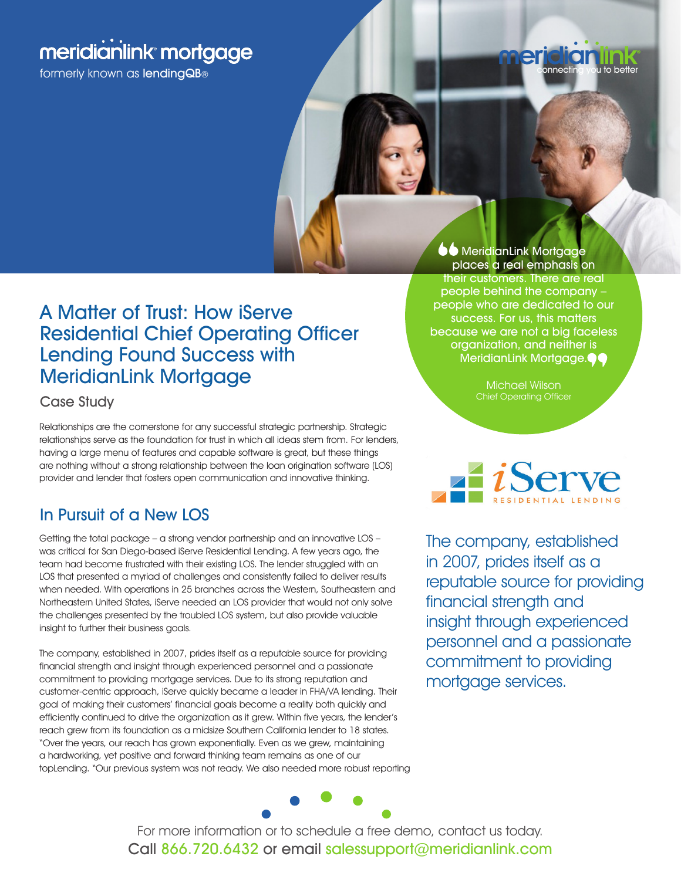# meridianlink mortgage

formerly known as lendingQB®



## A Matter of Trust: How iServe Residential Chief Operating Officer Lending Found Success with MeridianLink Mortgage

Case Study

Relationships are the cornerstone for any successful strategic partnership. Strategic relationships serve as the foundation for trust in which all ideas stem from. For lenders, having a large menu of features and capable software is great, but these things are nothing without a strong relationship between the loan origination software (LOS) provider and lender that fosters open communication and innovative thinking.

## In Pursuit of a New LOS

Getting the total package – a strong vendor partnership and an innovative LOS – was critical for San Diego-based iServe Residential Lending. A few years ago, the team had become frustrated with their existing LOS. The lender struggled with an LOS that presented a myriad of challenges and consistently failed to deliver results when needed. With operations in 25 branches across the Western, Southeastern and Northeastern United States, iServe needed an LOS provider that would not only solve the challenges presented by the troubled LOS system, but also provide valuable insight to further their business goals.

The company, established in 2007, prides itself as a reputable source for providing financial strength and insight through experienced personnel and a passionate commitment to providing mortgage services. Due to its strong reputation and customer-centric approach, iServe quickly became a leader in FHA/VA lending. Their goal of making their customers' financial goals become a reality both quickly and efficiently continued to drive the organization as it grew. Within five years, the lender's reach grew from its foundation as a midsize Southern California lender to 18 states. "Over the years, our reach has grown exponentially. Even as we grew, maintaining a hardworking, yet positive and forward thinking team remains as one of our topLending. "Our previous system was not ready. We also needed more robust reporting

**OO** MeridianLink Mortgag places a real emphasis on their customers. There are real people behind the company – people who are dedicated to our success. For us, this matters because we are not a big faceless organization, and neither is MeridianLink Mortgage.<sup>44</sup>

Michael Wilson



The company, established in 2007, prides itself as a reputable source for providing financial strength and insight through experienced personnel and a passionate commitment to providing mortgage services.



For more information or to schedule a free demo, contact us today. Call 866.720.6432 or email salessupport@meridianlink.com